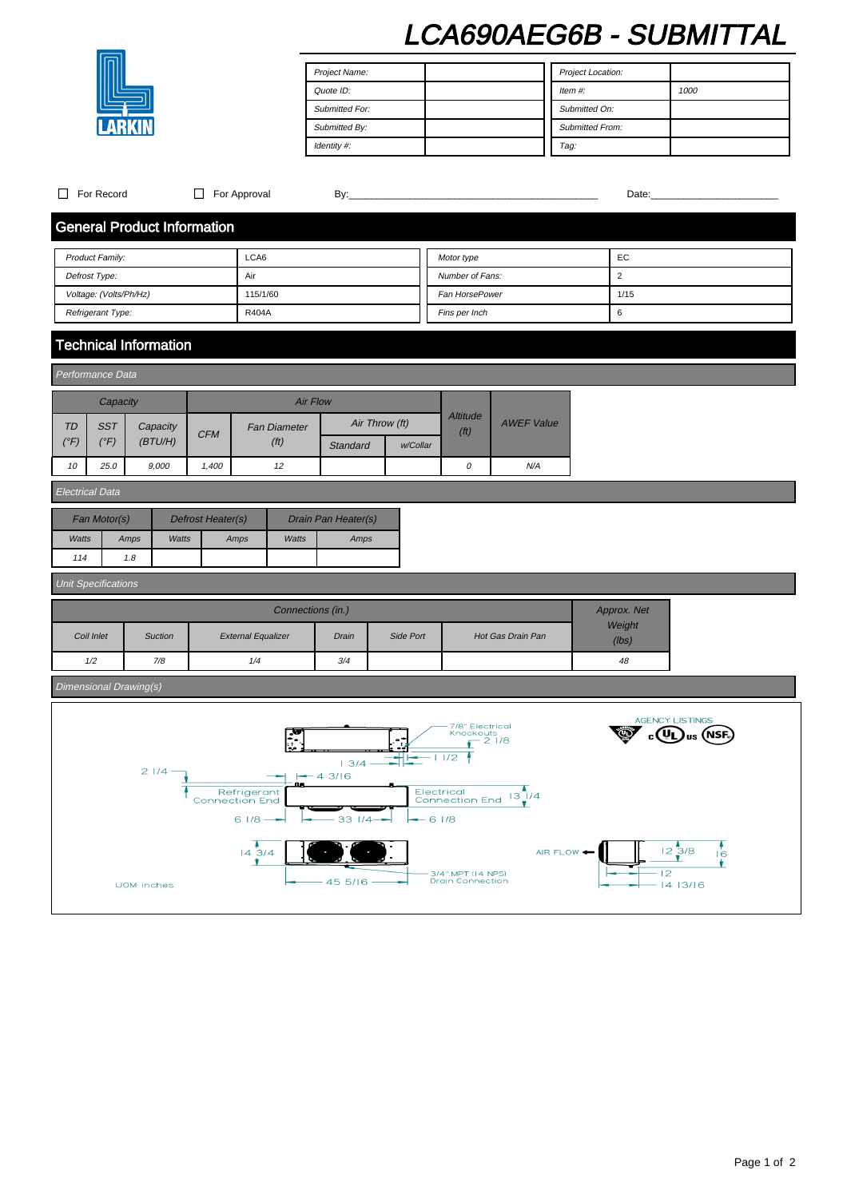# LCA690AEG6B - SUBMITTAL

| Project Name:  | Project Location:      |
|----------------|------------------------|
| Quote ID:      | Item $#$ :<br>1000     |
| Submitted For: | Submitted On:          |
| Submitted By:  | <b>Submitted From:</b> |
| Identity #:    | Tag:                   |

| For Record<br>П                                                                                                                                                                                                                                                    |                                    | $\Box$ For Approval |                     |                 |                |                                              |                   |                 |                                                    |
|--------------------------------------------------------------------------------------------------------------------------------------------------------------------------------------------------------------------------------------------------------------------|------------------------------------|---------------------|---------------------|-----------------|----------------|----------------------------------------------|-------------------|-----------------|----------------------------------------------------|
|                                                                                                                                                                                                                                                                    | <b>General Product Information</b> |                     |                     |                 |                |                                              |                   |                 |                                                    |
|                                                                                                                                                                                                                                                                    | LCA6<br>Product Family:            |                     |                     |                 | Motor type     |                                              | EC                |                 |                                                    |
| Defrost Type:<br>Air                                                                                                                                                                                                                                               |                                    |                     | Number of Fans:     |                 | $\overline{2}$ |                                              |                   |                 |                                                    |
| Voltage: (Volts/Ph/Hz)                                                                                                                                                                                                                                             |                                    |                     | 115/1/60            |                 |                | Fan HorsePower                               |                   | 1/15            |                                                    |
| Refrigerant Type:                                                                                                                                                                                                                                                  |                                    |                     | <b>R404A</b>        |                 |                | Fins per Inch                                |                   | 6               |                                                    |
|                                                                                                                                                                                                                                                                    | <b>Technical Information</b>       |                     |                     |                 |                |                                              |                   |                 |                                                    |
| Performance Data                                                                                                                                                                                                                                                   |                                    |                     |                     |                 |                |                                              |                   |                 |                                                    |
| Capacity                                                                                                                                                                                                                                                           |                                    |                     | <b>Air Flow</b>     |                 |                |                                              |                   |                 |                                                    |
| TD<br><b>SST</b>                                                                                                                                                                                                                                                   | Capacity                           |                     | <b>Fan Diameter</b> |                 | Air Throw (ft) | <b>Altitude</b>                              | <b>AWEF Value</b> |                 |                                                    |
| $(^{\circ}F)$<br>$(^{\circ}F)$                                                                                                                                                                                                                                     | (BTU/H)                            | <b>CFM</b>          | (f <sup>t</sup> )   | Standard        | w/Collar       | (f <sup>t</sup> )                            |                   |                 |                                                    |
| 10<br>25.0                                                                                                                                                                                                                                                         | 9,000                              | 1,400               | 12                  |                 |                | $\cal O$                                     | N/A               |                 |                                                    |
| <b>Electrical Data</b>                                                                                                                                                                                                                                             |                                    |                     |                     |                 |                |                                              |                   |                 |                                                    |
| Fan Motor(s)<br>Defrost Heater(s)<br>Drain Pan Heater(s)                                                                                                                                                                                                           |                                    |                     |                     |                 |                |                                              |                   |                 |                                                    |
| Watts                                                                                                                                                                                                                                                              | Amps<br><b>Watts</b>               |                     | Amps<br>Watts       | Amps            |                |                                              |                   |                 |                                                    |
| 114                                                                                                                                                                                                                                                                | 1.8                                |                     |                     |                 |                |                                              |                   |                 |                                                    |
| <b>Unit Specifications</b>                                                                                                                                                                                                                                         |                                    |                     |                     |                 |                |                                              |                   |                 |                                                    |
|                                                                                                                                                                                                                                                                    |                                    |                     | Connections (in.)   |                 |                |                                              |                   | Approx. Net     |                                                    |
| Coil Inlet<br><b>External Equalizer</b><br>Suction<br>Drain<br>Side Port                                                                                                                                                                                           |                                    |                     | Hot Gas Drain Pan   | Weight<br>(lbs) |                |                                              |                   |                 |                                                    |
| 1/2                                                                                                                                                                                                                                                                | 7/8                                |                     | 1/4                 | 3/4             |                |                                              |                   | 48              |                                                    |
| Dimensional Drawing(s)                                                                                                                                                                                                                                             |                                    |                     |                     |                 |                |                                              |                   |                 |                                                    |
| <b>AGENCY LISTINGS</b><br>7/8" Electrical<br>78<br>Knockouts<br>$-21/8$<br>$\ddot{\phantom{a}}_i$<br>£<br>1/2<br>13/4<br>$21/4 -$<br>$-43/16$<br>Electrical<br>Refrigerant<br>Connection End 13 <sup>1</sup> /4<br>Connection End<br>$61/8 -$<br>33 1/4<br>$-61/8$ |                                    |                     |                     |                 |                |                                              |                   |                 |                                                    |
|                                                                                                                                                                                                                                                                    | UOM: inches                        |                     | 143/4               | 45 5/16         |                | 3/4" MPT (14 NPS)<br><b>Drain Connection</b> | AIR FLOW <        | $\overline{12}$ | $\frac{1}{12}$ $\frac{3}{8}$<br>16<br>۷<br>1413/16 |